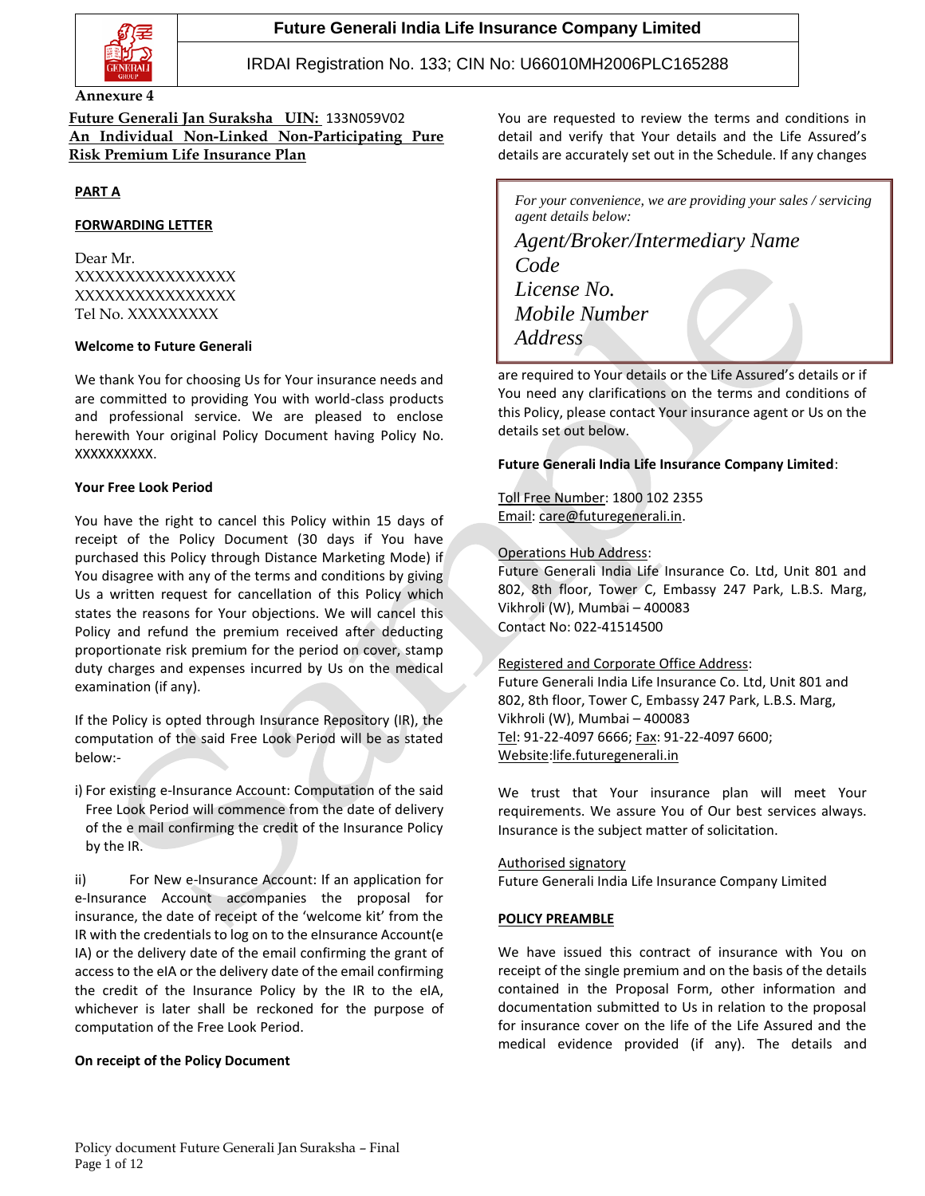

## **Future Generali India Life Insurance Company Limited**

## IRDAI Registration No. 133; CIN No: U66010MH2006PLC165288

#### **Annexure 4**

**Future Generali Jan Suraksha UIN:** 133N059V02 **An Individual Non-Linked Non-Participating Pure Risk Premium Life Insurance Plan**

### **PART A**

#### **FORWARDING LETTER**

Dear Mr. XXXXXXXXXXXXXXXX XXXXXXXXXXXXXXXX Tel No. XXXXXXXXX

#### **Welcome to Future Generali**

We thank You for choosing Us for Your insurance needs and are committed to providing You with world-class products and professional service. We are pleased to enclose herewith Your original Policy Document having Policy No. XXXXXXXXXX.

#### **Your Free Look Period**

You have the right to cancel this Policy within 15 days of receipt of the Policy Document (30 days if You have purchased this Policy through Distance Marketing Mode) if You disagree with any of the terms and conditions by giving Us a written request for cancellation of this Policy which states the reasons for Your objections. We will cancel this Policy and refund the premium received after deducting proportionate risk premium for the period on cover, stamp duty charges and expenses incurred by Us on the medical examination (if any).

If the Policy is opted through Insurance Repository (IR), the computation of the said Free Look Period will be as stated below:-

i) For existing e-Insurance Account: Computation of the said Free Look Period will commence from the date of delivery of the e mail confirming the credit of the Insurance Policy by the IR.

ii) For New e-Insurance Account: If an application for e-Insurance Account accompanies the proposal for insurance, the date of receipt of the 'welcome kit' from the IR with the credentials to log on to the eInsurance Account(e IA) or the delivery date of the email confirming the grant of access to the eIA or the delivery date of the email confirming the credit of the Insurance Policy by the IR to the eIA, whichever is later shall be reckoned for the purpose of computation of the Free Look Period.

#### **On receipt of the Policy Document**

You are requested to review the terms and conditions in detail and verify that Your details and the Life Assured's details are accurately set out in the Schedule. If any changes

*For your convenience, we are providing your sales / servicing agent details below:*

*Agent/Broker/Intermediary Name Code License No. Mobile Number Address*

are required to Your details or the Life Assured's details or if You need any clarifications on the terms and conditions of this Policy, please contact Your insurance agent or Us on the details set out below.

### **Future Generali India Life Insurance Company Limited**:

## Toll Free Number: 1800 102 2355 Email: [care@futuregenerali.in.](mailto:care@futuregenerali.in)

#### Operations Hub Address:

Future Generali India Life Insurance Co. Ltd, Unit 801 and 802, 8th floor, Tower C, Embassy 247 Park, L.B.S. Marg, Vikhroli (W), Mumbai – 400083 Contact No: 022-41514500

### Registered and Corporate Office Address:

Future Generali India Life Insurance Co. Ltd, Unit 801 and 802, 8th floor, Tower C, Embassy 247 Park, L.B.S. Marg, Vikhroli (W), Mumbai – 400083 Tel: 91-22-4097 6666; Fax: 91-22-4097 6600; Website[:life.futuregenerali.in](http://www.futuregenerali.in/)

We trust that Your insurance plan will meet Your requirements. We assure You of Our best services always. Insurance is the subject matter of solicitation.

#### Authorised signatory Future Generali India Life Insurance Company Limited

#### **POLICY PREAMBLE**

We have issued this contract of insurance with You on receipt of the single premium and on the basis of the details contained in the Proposal Form, other information and documentation submitted to Us in relation to the proposal for insurance cover on the life of the Life Assured and the medical evidence provided (if any). The details and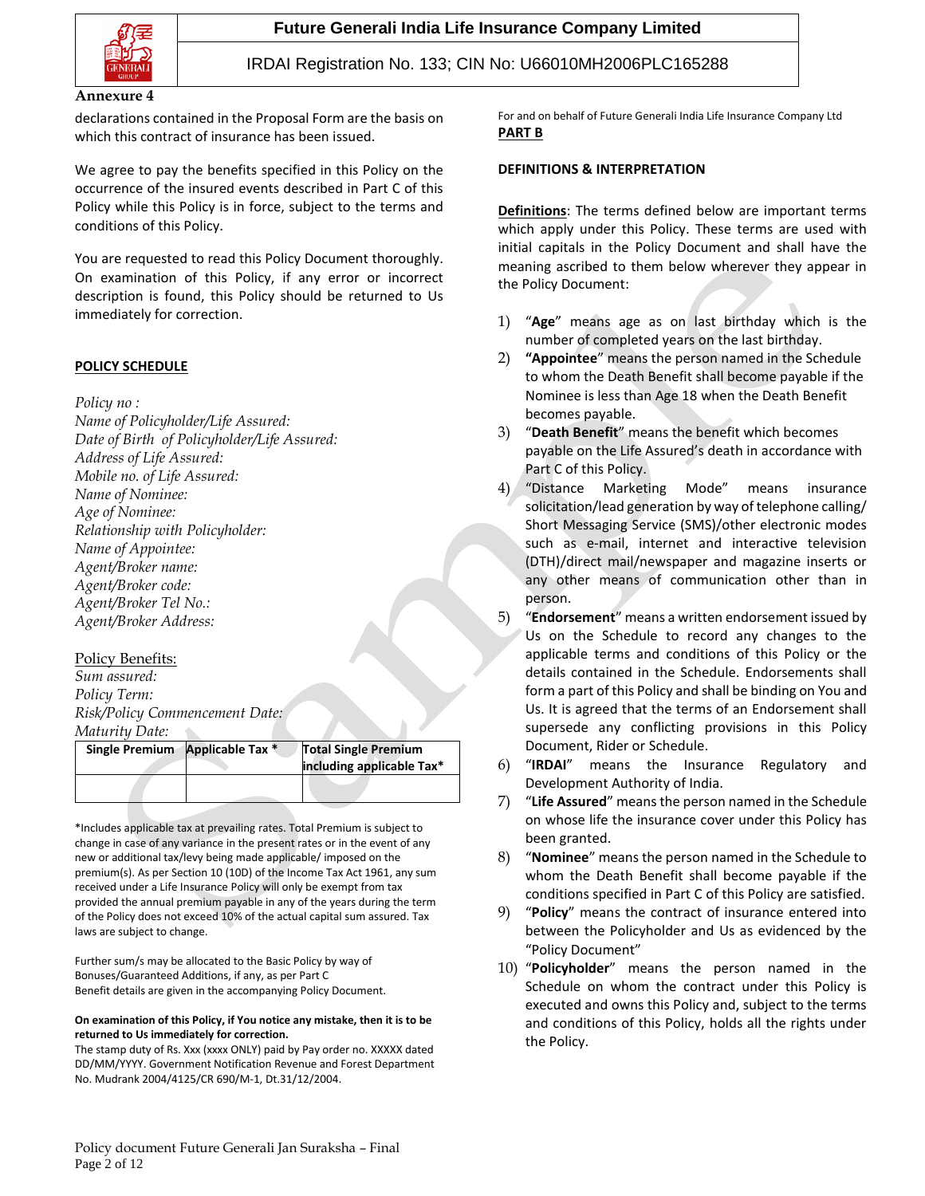

#### **Annexure 4**

declarations contained in the Proposal Form are the basis on which this contract of insurance has been issued.

We agree to pay the benefits specified in this Policy on the occurrence of the insured events described in Part C of this Policy while this Policy is in force, subject to the terms and conditions of this Policy.

You are requested to read this Policy Document thoroughly. On examination of this Policy, if any error or incorrect description is found, this Policy should be returned to Us immediately for correction.

### **POLICY SCHEDULE**

*Policy no :*

*Name of Policyholder/Life Assured: Date of Birth of Policyholder/Life Assured: Address of Life Assured: Mobile no. of Life Assured: Name of Nominee: Age of Nominee: Relationship with Policyholder: Name of Appointee: Agent/Broker name: Agent/Broker code: Agent/Broker Tel No.: Agent/Broker Address:*

## Policy Benefits:

*Sum assured: Policy Term: Risk/Policy Commencement Date: Maturity Date:*  $\mathcal{C}_{\mathcal{C}}$ 

| Single Premium | Applicable Tax * | <b>Total Single Premium</b><br>including applicable Tax* |
|----------------|------------------|----------------------------------------------------------|
|                |                  |                                                          |

\*Includes applicable tax at prevailing rates. Total Premium is subject to change in case of any variance in the present rates or in the event of any new or additional tax/levy being made applicable/ imposed on the premium(s). As per Section 10 (10D) of the Income Tax Act 1961, any sum received under a Life Insurance Policy will only be exempt from tax provided the annual premium payable in any of the years during the term of the Policy does not exceed 10% of the actual capital sum assured. Tax laws are subject to change.

Further sum/s may be allocated to the Basic Policy by way of Bonuses/Guaranteed Additions, if any, as per Part C Benefit details are given in the accompanying Policy Document.

#### **On examination of this Policy, if You notice any mistake, then it is to be returned to Us immediately for correction.**

The stamp duty of Rs. Xxx (xxxx ONLY) paid by Pay order no. XXXXX dated DD/MM/YYYY. Government Notification Revenue and Forest Department No. Mudrank 2004/4125/CR 690/M-1, Dt.31/12/2004.

For and on behalf of Future Generali India Life Insurance Company Ltd **PART B**

#### **DEFINITIONS & INTERPRETATION**

**Definitions**: The terms defined below are important terms which apply under this Policy. These terms are used with initial capitals in the Policy Document and shall have the meaning ascribed to them below wherever they appear in the Policy Document:

- 1) "**Age**" means age as on last birthday which is the number of completed years on the last birthday.
- 2) **"Appointee**" means the person named in the Schedule to whom the Death Benefit shall become payable if the Nominee is less than Age 18 when the Death Benefit becomes payable.
- 3) "**Death Benefit**" means the benefit which becomes payable on the Life Assured's death in accordance with Part C of this Policy.
- 4) "Distance Marketing Mode" means insurance solicitation/lead generation by way of telephone calling/ Short Messaging Service (SMS)/other electronic modes such as e-mail, internet and interactive television (DTH)/direct mail/newspaper and magazine inserts or any other means of communication other than in person.
- 5) "**Endorsement**" means a written endorsement issued by Us on the Schedule to record any changes to the applicable terms and conditions of this Policy or the details contained in the Schedule. Endorsements shall form a part of this Policy and shall be binding on You and Us. It is agreed that the terms of an Endorsement shall supersede any conflicting provisions in this Policy Document, Rider or Schedule.
- 6) "**IRDAI**" means the Insurance Regulatory and Development Authority of India.
- 7) "**Life Assured**" means the person named in the Schedule on whose life the insurance cover under this Policy has been granted.
- 8) "**Nominee**" means the person named in the Schedule to whom the Death Benefit shall become payable if the conditions specified in Part C of this Policy are satisfied.
- 9) "**Policy**" means the contract of insurance entered into between the Policyholder and Us as evidenced by the "Policy Document"
- 10) "**Policyholder**" means the person named in the Schedule on whom the contract under this Policy is executed and owns this Policy and, subject to the terms and conditions of this Policy, holds all the rights under the Policy.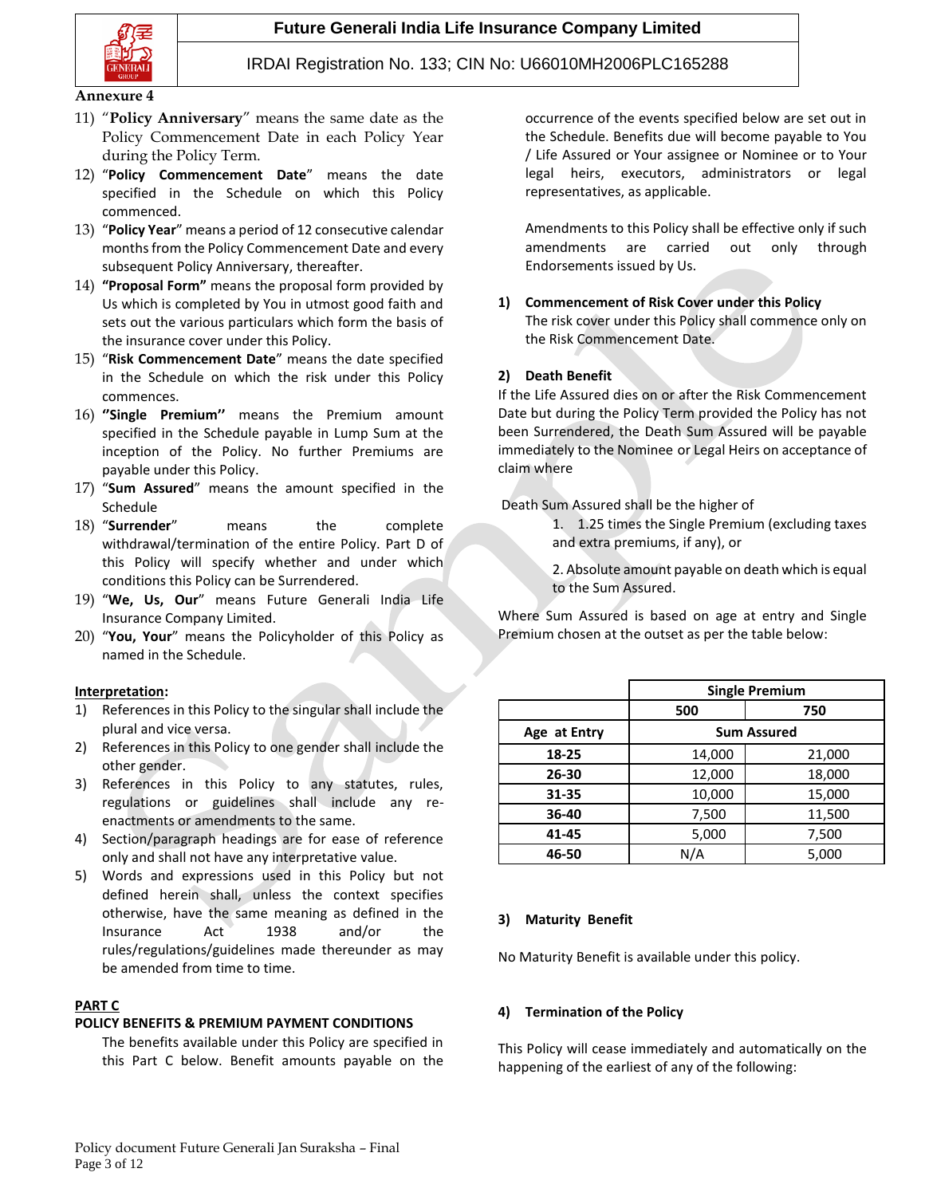**Future Generali India Life Insurance Company Limited**



## IRDAI Registration No. 133; CIN No: U66010MH2006PLC165288

#### **Annexure 4**

- 11) "**Policy Anniversary**" means the same date as the Policy Commencement Date in each Policy Year during the Policy Term.
- 12) "**Policy Commencement Date**" means the date specified in the Schedule on which this Policy commenced.
- 13) "**Policy Year**" means a period of 12 consecutive calendar months from the Policy Commencement Date and every subsequent Policy Anniversary, thereafter.
- 14) **"Proposal Form"** means the proposal form provided by Us which is completed by You in utmost good faith and sets out the various particulars which form the basis of the insurance cover under this Policy.
- 15) "**Risk Commencement Date**" means the date specified in the Schedule on which the risk under this Policy commences.
- 16) **''Single Premium''** means the Premium amount specified in the Schedule payable in Lump Sum at the inception of the Policy. No further Premiums are payable under this Policy.
- 17) "**Sum Assured**" means the amount specified in the Schedule
- 18) "**Surrender**" means the complete withdrawal/termination of the entire Policy. Part D of this Policy will specify whether and under which conditions this Policy can be Surrendered.
- 19) "**We, Us, Our**" means Future Generali India Life Insurance Company Limited.
- 20) "**You, Your**" means the Policyholder of this Policy as named in the Schedule.

#### **Interpretation:**

- 1) References in this Policy to the singular shall include the plural and vice versa.
- 2) References in this Policy to one gender shall include the other gender.
- 3) References in this Policy to any statutes, rules, regulations or guidelines shall include any reenactments or amendments to the same.
- 4) Section/paragraph headings are for ease of reference only and shall not have any interpretative value.
- 5) Words and expressions used in this Policy but not defined herein shall, unless the context specifies otherwise, have the same meaning as defined in the Insurance Act 1938 and/or the rules/regulations/guidelines made thereunder as may be amended from time to time.

## **PART C**

## **POLICY BENEFITS & PREMIUM PAYMENT CONDITIONS**

The benefits available under this Policy are specified in this Part C below. Benefit amounts payable on the

occurrence of the events specified below are set out in the Schedule. Benefits due will become payable to You / Life Assured or Your assignee or Nominee or to Your legal heirs, executors, administrators or legal representatives, as applicable.

Amendments to this Policy shall be effective only if such amendments are carried out only through Endorsements issued by Us.

**1) Commencement of Risk Cover under this Policy** The risk cover under this Policy shall commence only on the Risk Commencement Date.

## **2) Death Benefit**

If the Life Assured dies on or after the Risk Commencement Date but during the Policy Term provided the Policy has not been Surrendered, the Death Sum Assured will be payable immediately to the Nominee or Legal Heirs on acceptance of claim where

Death Sum Assured shall be the higher of

1. 1.25 times the Single Premium (excluding taxes and extra premiums, if any), or

2. Absolute amount payable on death which is equal to the Sum Assured.

Where Sum Assured is based on age at entry and Single Premium chosen at the outset as per the table below:

|              | <b>Single Premium</b> |        |  |
|--------------|-----------------------|--------|--|
|              | 500                   | 750    |  |
| Age at Entry | <b>Sum Assured</b>    |        |  |
| 18-25        | 14,000                | 21,000 |  |
| 26-30        | 12,000                | 18,000 |  |
| 31-35        | 10,000                | 15,000 |  |
| 36-40        | 7,500                 | 11,500 |  |
| 41-45        | 5,000                 | 7,500  |  |
| 46-50        | N/A                   | 5,000  |  |

## **3) Maturity Benefit**

No Maturity Benefit is available under this policy.

## **4) Termination of the Policy**

This Policy will cease immediately and automatically on the happening of the earliest of any of the following: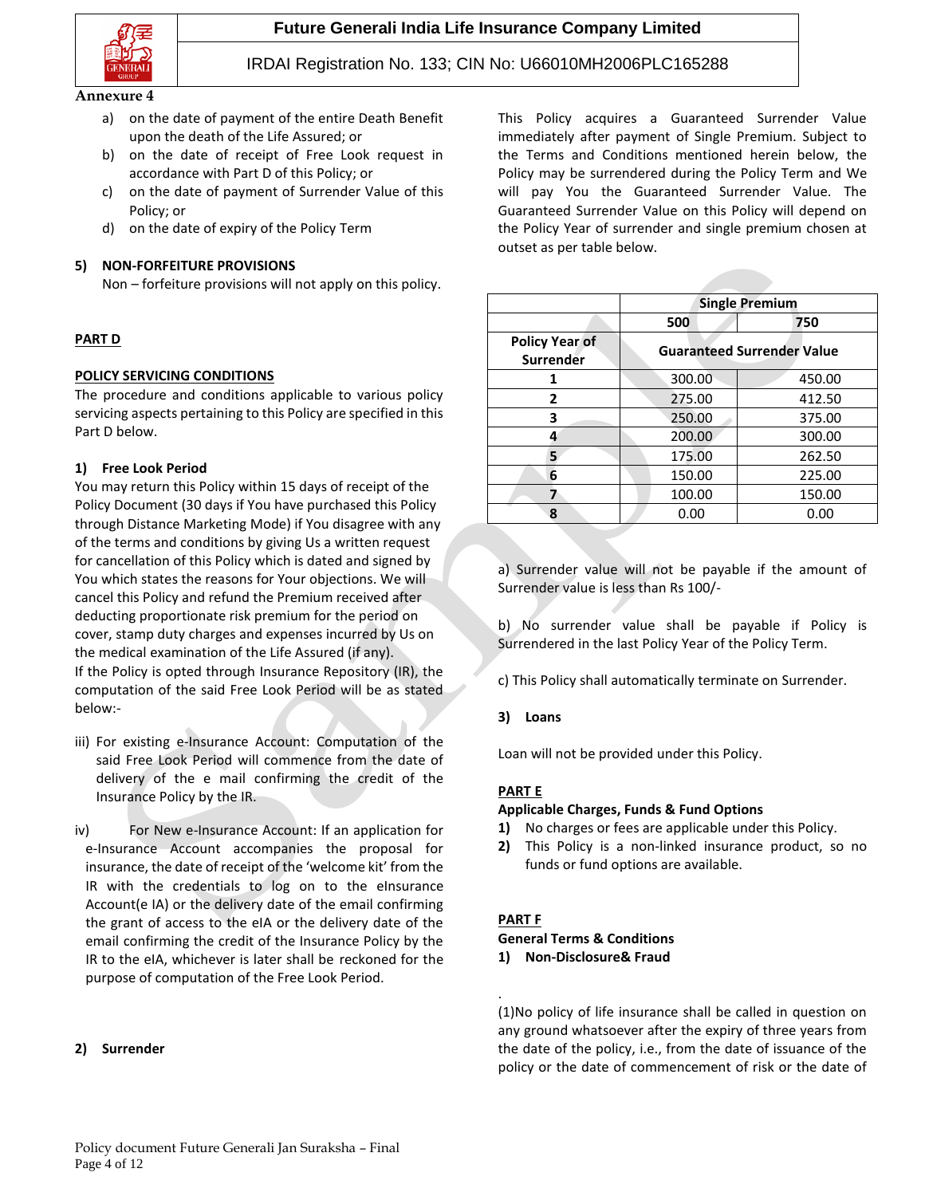

#### **Annexure 4**

- a) on the date of payment of the entire Death Benefit upon the death of the Life Assured; or
- b) on the date of receipt of Free Look request in accordance with Part D of this Policy; or
- c) on the date of payment of Surrender Value of this Policy; or
- d) on the date of expiry of the Policy Term

### **5) NON-FORFEITURE PROVISIONS**

Non – forfeiture provisions will not apply on this policy.

## **PART D**

### **POLICY SERVICING CONDITIONS**

The procedure and conditions applicable to various policy servicing aspects pertaining to this Policy are specified in this Part D below.

### **1) Free Look Period**

You may return this Policy within 15 days of receipt of the Policy Document (30 days if You have purchased this Policy through Distance Marketing Mode) if You disagree with any of the terms and conditions by giving Us a written request for cancellation of this Policy which is dated and signed by You which states the reasons for Your objections. We will cancel this Policy and refund the Premium received after deducting proportionate risk premium for the period on cover, stamp duty charges and expenses incurred by Us on the medical examination of the Life Assured (if any). If the Policy is opted through Insurance Repository (IR), the computation of the said Free Look Period will be as stated below:-

- iii) For existing e-Insurance Account: Computation of the said Free Look Period will commence from the date of delivery of the e mail confirming the credit of the Insurance Policy by the IR.
- iv) For New e-Insurance Account: If an application for e-Insurance Account accompanies the proposal for insurance, the date of receipt of the 'welcome kit' from the IR with the credentials to log on to the eInsurance Account(e IA) or the delivery date of the email confirming the grant of access to the eIA or the delivery date of the email confirming the credit of the Insurance Policy by the IR to the eIA, whichever is later shall be reckoned for the purpose of computation of the Free Look Period.

#### **2) Surrender**

This Policy acquires a Guaranteed Surrender Value immediately after payment of Single Premium. Subject to the Terms and Conditions mentioned herein below, the Policy may be surrendered during the Policy Term and We will pay You the Guaranteed Surrender Value. The Guaranteed Surrender Value on this Policy will depend on the Policy Year of surrender and single premium chosen at outset as per table below.

|                                    | <b>Single Premium</b>             |                  |  |
|------------------------------------|-----------------------------------|------------------|--|
|                                    | 500                               | 750              |  |
| <b>Policy Year of</b><br>Surrender | <b>Guaranteed Surrender Value</b> |                  |  |
| 1                                  | 300.00                            | 450.00           |  |
| 2                                  | 275.00                            | 412.50<br>375.00 |  |
| 3                                  | 250.00                            |                  |  |
| 4                                  | 200.00                            | 300.00           |  |
| 5                                  | 175.00                            | 262.50           |  |
| 6                                  | 150.00                            | 225.00           |  |
| 7                                  | 100.00                            | 150.00           |  |
| Ջ                                  | 0.00                              | 0.00             |  |

a) Surrender value will not be payable if the amount of Surrender value is less than Rs 100/-

b) No surrender value shall be payable if Policy is Surrendered in the last Policy Year of the Policy Term.

c) This Policy shall automatically terminate on Surrender.

#### **3) Loans**

Loan will not be provided under this Policy.

#### **PART E**

#### **Applicable Charges, Funds & Fund Options**

- **1)** No charges or fees are applicable under this Policy.
- **2)** This Policy is a non-linked insurance product, so no funds or fund options are available.

#### **PART F**

.

### **General Terms & Conditions**

**1) Non-Disclosure& Fraud** 

(1)No policy of life insurance shall be called in question on any ground whatsoever after the expiry of three years from the date of the policy, i.e., from the date of issuance of the policy or the date of commencement of risk or the date of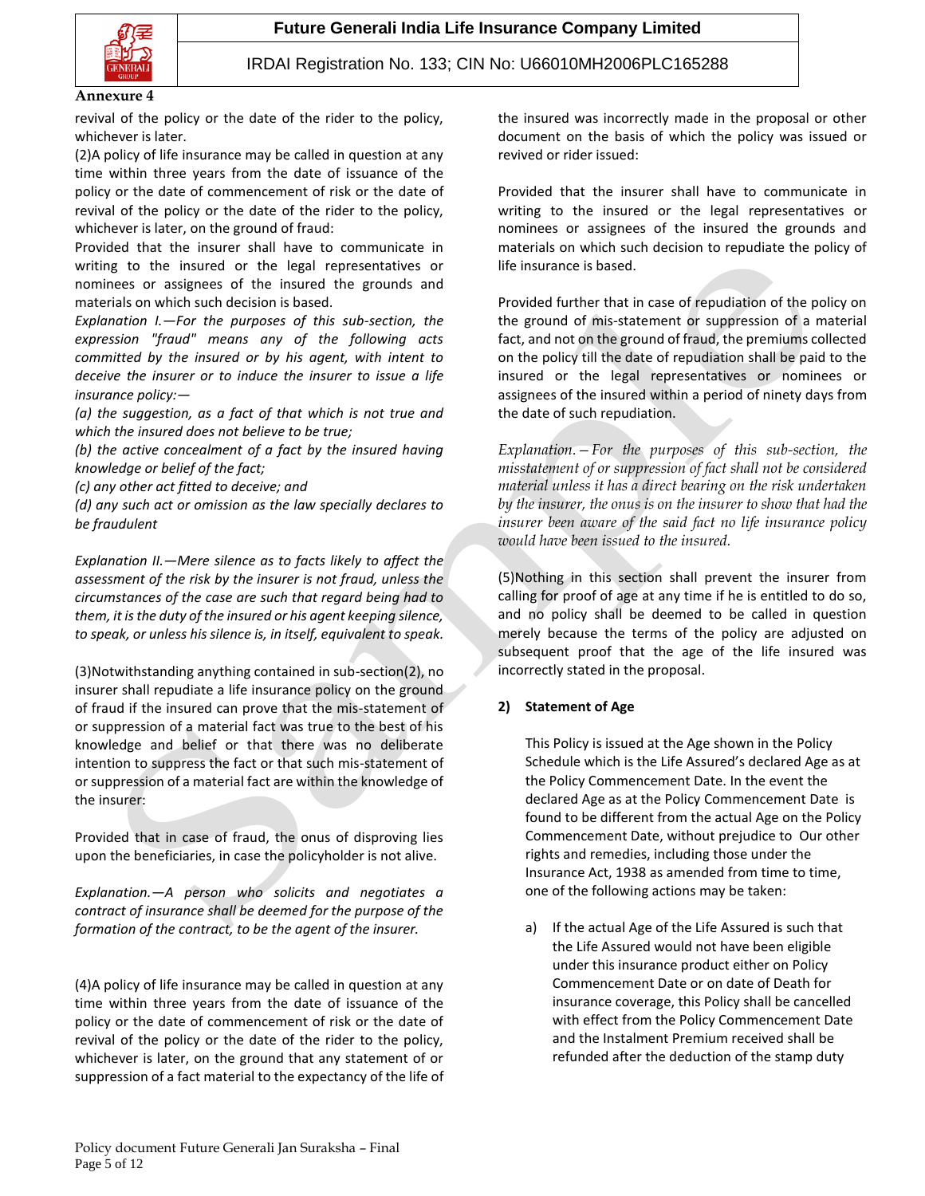

#### **Annexure 4**

revival of the policy or the date of the rider to the policy, whichever is later.

(2)A policy of life insurance may be called in question at any time within three years from the date of issuance of the policy or the date of commencement of risk or the date of revival of the policy or the date of the rider to the policy, whichever is later, on the ground of fraud:

Provided that the insurer shall have to communicate in writing to the insured or the legal representatives or nominees or assignees of the insured the grounds and materials on which such decision is based.

*Explanation I.—For the purposes of this sub-section, the expression "fraud" means any of the following acts committed by the insured or by his agent, with intent to deceive the insurer or to induce the insurer to issue a life insurance policy:—*

*(a) the suggestion, as a fact of that which is not true and which the insured does not believe to be true;*

*(b) the active concealment of a fact by the insured having knowledge or belief of the fact;*

*(c) any other act fitted to deceive; and*

*(d) any such act or omission as the law specially declares to be fraudulent*

*Explanation II.—Mere silence as to facts likely to affect the assessment of the risk by the insurer is not fraud, unless the circumstances of the case are such that regard being had to them, it is the duty of the insured or his agent keeping silence, to speak, or unless his silence is, in itself, equivalent to speak.*

(3)Notwithstanding anything contained in sub-section(2), no insurer shall repudiate a life insurance policy on the ground of fraud if the insured can prove that the mis-statement of or suppression of a material fact was true to the best of his knowledge and belief or that there was no deliberate intention to suppress the fact or that such mis-statement of or suppression of a material fact are within the knowledge of the insurer:

Provided that in case of fraud, the onus of disproving lies upon the beneficiaries, in case the policyholder is not alive.

*Explanation.—A person who solicits and negotiates a contract of insurance shall be deemed for the purpose of the formation of the contract, to be the agent of the insurer.*

(4)A policy of life insurance may be called in question at any time within three years from the date of issuance of the policy or the date of commencement of risk or the date of revival of the policy or the date of the rider to the policy, whichever is later, on the ground that any statement of or suppression of a fact material to the expectancy of the life of

the insured was incorrectly made in the proposal or other document on the basis of which the policy was issued or revived or rider issued:

Provided that the insurer shall have to communicate in writing to the insured or the legal representatives or nominees or assignees of the insured the grounds and materials on which such decision to repudiate the policy of life insurance is based.

Provided further that in case of repudiation of the policy on the ground of mis-statement or suppression of a material fact, and not on the ground of fraud, the premiums collected on the policy till the date of repudiation shall be paid to the insured or the legal representatives or nominees or assignees of the insured within a period of ninety days from the date of such repudiation.

*Explanation.—For the purposes of this sub-section, the misstatement of or suppression of fact shall not be considered material unless it has a direct bearing on the risk undertaken by the insurer, the onus is on the insurer to show that had the insurer been aware of the said fact no life insurance policy would have been issued to the insured.*

(5)Nothing in this section shall prevent the insurer from calling for proof of age at any time if he is entitled to do so, and no policy shall be deemed to be called in question merely because the terms of the policy are adjusted on subsequent proof that the age of the life insured was incorrectly stated in the proposal.

## **2) Statement of Age**

This Policy is issued at the Age shown in the Policy Schedule which is the Life Assured's declared Age as at the Policy Commencement Date. In the event the declared Age as at the Policy Commencement Date is found to be different from the actual Age on the Policy Commencement Date, without prejudice to Our other rights and remedies, including those under the Insurance Act, 1938 as amended from time to time, one of the following actions may be taken:

a) If the actual Age of the Life Assured is such that the Life Assured would not have been eligible under this insurance product either on Policy Commencement Date or on date of Death for insurance coverage, this Policy shall be cancelled with effect from the Policy Commencement Date and the Instalment Premium received shall be refunded after the deduction of the stamp duty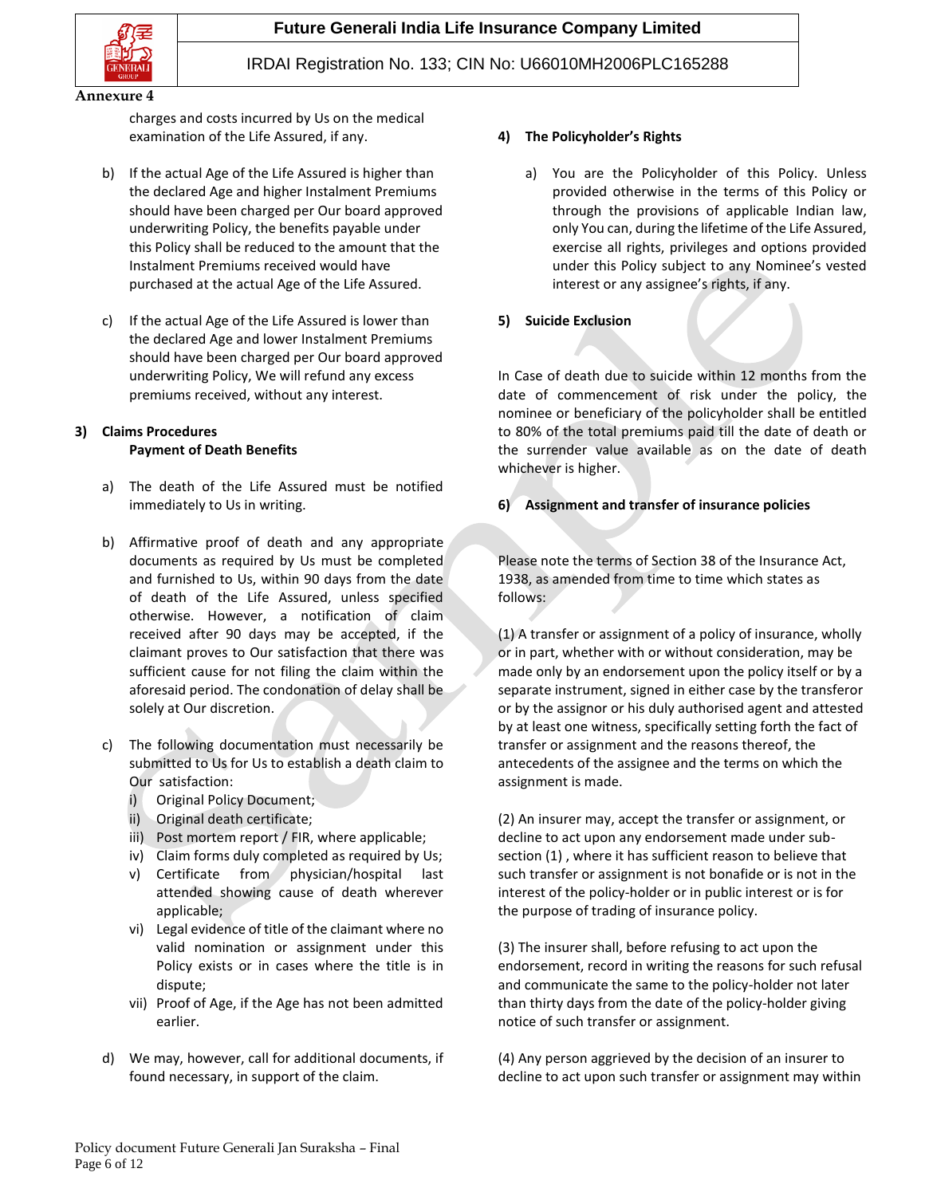

charges and costs incurred by Us on the medical examination of the Life Assured, if any.

- b) If the actual Age of the Life Assured is higher than the declared Age and higher Instalment Premiums should have been charged per Our board approved underwriting Policy, the benefits payable under this Policy shall be reduced to the amount that the Instalment Premiums received would have purchased at the actual Age of the Life Assured.
- c) If the actual Age of the Life Assured is lower than the declared Age and lower Instalment Premiums should have been charged per Our board approved underwriting Policy, We will refund any excess premiums received, without any interest.

### **3) Claims Procedures Payment of Death Benefits**

- a) The death of the Life Assured must be notified immediately to Us in writing.
- b) Affirmative proof of death and any appropriate documents as required by Us must be completed and furnished to Us, within 90 days from the date of death of the Life Assured, unless specified otherwise. However, a notification of claim received after 90 days may be accepted, if the claimant proves to Our satisfaction that there was sufficient cause for not filing the claim within the aforesaid period. The condonation of delay shall be solely at Our discretion.
- c) The following documentation must necessarily be submitted to Us for Us to establish a death claim to Our satisfaction:
	- i) Original Policy Document;
	- ii) Original death certificate;
	- iii) Post mortem report / FIR, where applicable;
	- iv) Claim forms duly completed as required by Us;
	- v) Certificate from physician/hospital last attended showing cause of death wherever applicable;
	- vi) Legal evidence of title of the claimant where no valid nomination or assignment under this Policy exists or in cases where the title is in dispute;
	- vii) Proof of Age, if the Age has not been admitted earlier.
- d) We may, however, call for additional documents, if found necessary, in support of the claim.

## **4) The Policyholder's Rights**

- a) You are the Policyholder of this Policy. Unless provided otherwise in the terms of this Policy or through the provisions of applicable Indian law, only You can, during the lifetime of the Life Assured, exercise all rights, privileges and options provided under this Policy subject to any Nominee's vested interest or any assignee's rights, if any.
- **5) Suicide Exclusion**

In Case of death due to suicide within 12 months from the date of commencement of risk under the policy, the nominee or beneficiary of the policyholder shall be entitled to 80% of the total premiums paid till the date of death or the surrender value available as on the date of death whichever is higher.

## **6) Assignment and transfer of insurance policies**

Please note the terms of Section 38 of the Insurance Act, 1938, as amended from time to time which states as follows:

(1) A transfer or assignment of a policy of insurance, wholly or in part, whether with or without consideration, may be made only by an endorsement upon the policy itself or by a separate instrument, signed in either case by the transferor or by the assignor or his duly authorised agent and attested by at least one witness, specifically setting forth the fact of transfer or assignment and the reasons thereof, the antecedents of the assignee and the terms on which the assignment is made.

(2) An insurer may, accept the transfer or assignment, or decline to act upon any endorsement made under subsection (1) , where it has sufficient reason to believe that such transfer or assignment is not bonafide or is not in the interest of the policy-holder or in public interest or is for the purpose of trading of insurance policy.

(3) The insurer shall, before refusing to act upon the endorsement, record in writing the reasons for such refusal and communicate the same to the policy-holder not later than thirty days from the date of the policy-holder giving notice of such transfer or assignment.

(4) Any person aggrieved by the decision of an insurer to decline to act upon such transfer or assignment may within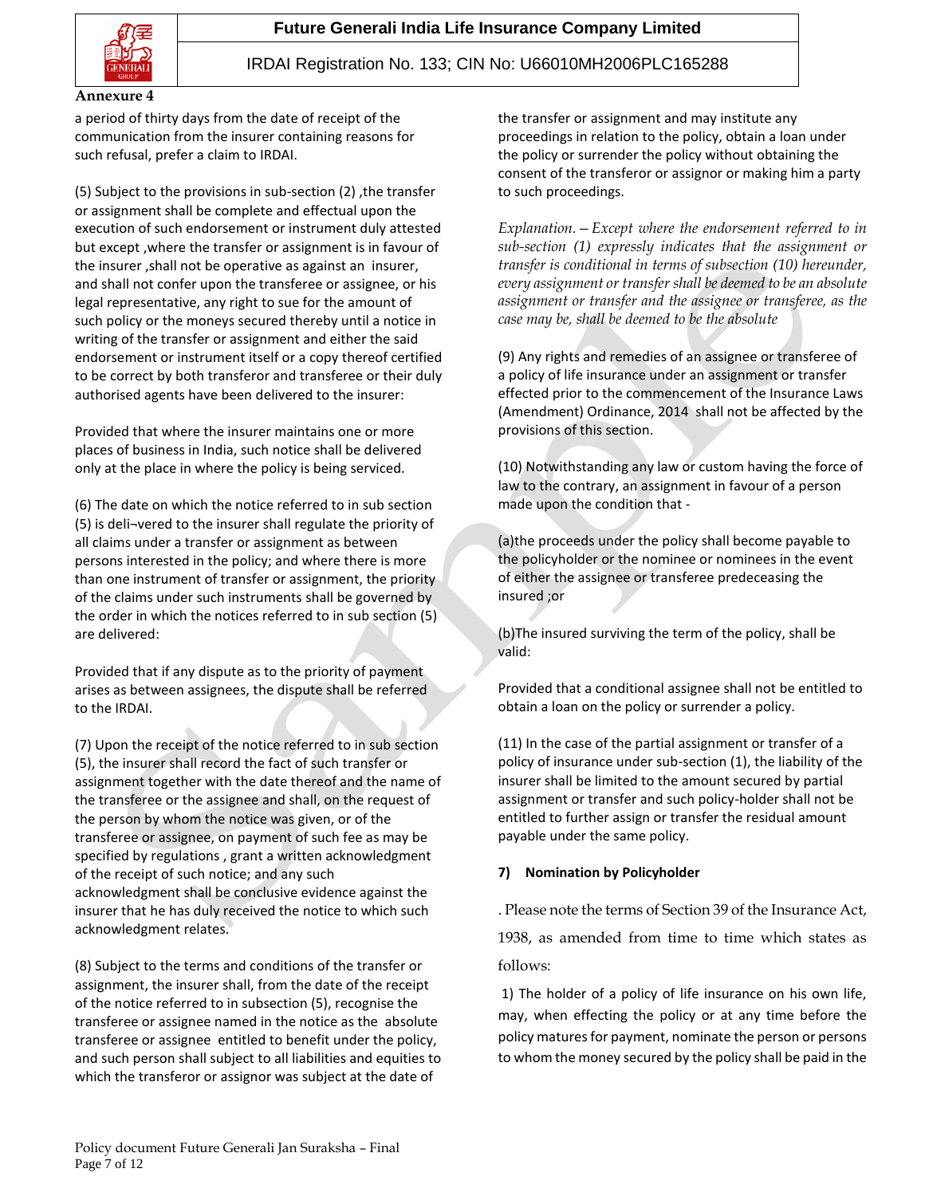

#### **Annexure 4**

a period of thirty days from the date of receipt of the communication from the insurer containing reasons for such refusal, prefer a claim to IRDAI.

(5) Subject to the provisions in sub-section (2) ,the transfer or assignment shall be complete and effectual upon the execution of such endorsement or instrument duly attested but except ,where the transfer or assignment is in favour of the insurer ,shall not be operative as against an insurer, and shall not confer upon the transferee or assignee, or his legal representative, any right to sue for the amount of such policy or the moneys secured thereby until a notice in writing of the transfer or assignment and either the said endorsement or instrument itself or a copy thereof certified to be correct by both transferor and transferee or their duly authorised agents have been delivered to the insurer:

Provided that where the insurer maintains one or more places of business in India, such notice shall be delivered only at the place in where the policy is being serviced.

(6) The date on which the notice referred to in sub section (5) is deli¬vered to the insurer shall regulate the priority of all claims under a transfer or assignment as between persons interested in the policy; and where there is more than one instrument of transfer or assignment, the priority of the claims under such instruments shall be governed by the order in which the notices referred to in sub section (5) are delivered:

Provided that if any dispute as to the priority of payment arises as between assignees, the dispute shall be referred to the IRDAI.

(7) Upon the receipt of the notice referred to in sub section (5), the insurer shall record the fact of such transfer or assignment together with the date thereof and the name of the transferee or the assignee and shall, on the request of the person by whom the notice was given, or of the transferee or assignee, on payment of such fee as may be specified by regulations , grant a written acknowledgment of the receipt of such notice; and any such acknowledgment shall be conclusive evidence against the insurer that he has duly received the notice to which such acknowledgment relates.

(8) Subject to the terms and conditions of the transfer or assignment, the insurer shall, from the date of the receipt of the notice referred to in subsection (5), recognise the transferee or assignee named in the notice as the absolute transferee or assignee entitled to benefit under the policy, and such person shall subject to all liabilities and equities to which the transferor or assignor was subject at the date of

the transfer or assignment and may institute any proceedings in relation to the policy, obtain a loan under the policy or surrender the policy without obtaining the consent of the transferor or assignor or making him a party to such proceedings.

*Explanation.—Except where the endorsement referred to in sub-section (1) expressly indicates that the assignment or transfer is conditional in terms of subsection (10) hereunder, every assignment or transfer shall be deemed to be an absolute assignment or transfer and the assignee or transferee, as the case may be, shall be deemed to be the absolute*

(9) Any rights and remedies of an assignee or transferee of a policy of life insurance under an assignment or transfer effected prior to the commencement of the Insurance Laws (Amendment) Ordinance, 2014 shall not be affected by the provisions of this section.

(10) Notwithstanding any law or custom having the force of law to the contrary, an assignment in favour of a person made upon the condition that -

(a)the proceeds under the policy shall become payable to the policyholder or the nominee or nominees in the event of either the assignee or transferee predeceasing the insured ;or

(b)The insured surviving the term of the policy, shall be valid:

Provided that a conditional assignee shall not be entitled to obtain a loan on the policy or surrender a policy.

(11) In the case of the partial assignment or transfer of a policy of insurance under sub-section (1), the liability of the insurer shall be limited to the amount secured by partial assignment or transfer and such policy-holder shall not be entitled to further assign or transfer the residual amount payable under the same policy.

## **7) Nomination by Policyholder**

. Please note the terms of Section 39 of the Insurance Act,

1938, as amended from time to time which states as follows:

1) The holder of a policy of life insurance on his own life, may, when effecting the policy or at any time before the policy matures for payment, nominate the person or persons to whom the money secured by the policy shall be paid in the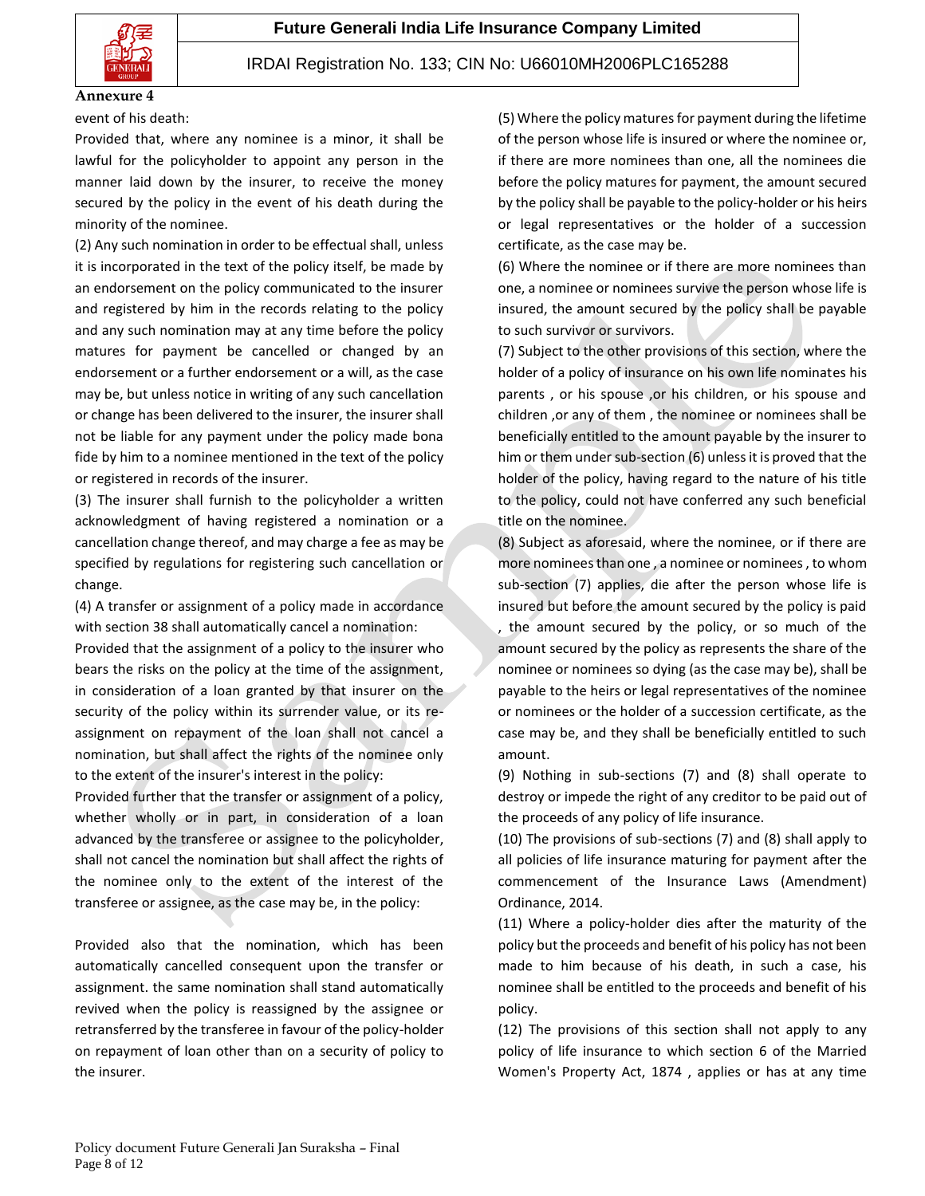

#### **Annexure 4**

event of his death:

Provided that, where any nominee is a minor, it shall be lawful for the policyholder to appoint any person in the manner laid down by the insurer, to receive the money secured by the policy in the event of his death during the minority of the nominee.

(2) Any such nomination in order to be effectual shall, unless it is incorporated in the text of the policy itself, be made by an endorsement on the policy communicated to the insurer and registered by him in the records relating to the policy and any such nomination may at any time before the policy matures for payment be cancelled or changed by an endorsement or a further endorsement or a will, as the case may be, but unless notice in writing of any such cancellation or change has been delivered to the insurer, the insurer shall not be liable for any payment under the policy made bona fide by him to a nominee mentioned in the text of the policy or registered in records of the insurer.

(3) The insurer shall furnish to the policyholder a written acknowledgment of having registered a nomination or a cancellation change thereof, and may charge a fee as may be specified by regulations for registering such cancellation or change.

(4) A transfer or assignment of a policy made in accordance with section 38 shall automatically cancel a nomination: Provided that the assignment of a policy to the insurer who bears the risks on the policy at the time of the assignment, in consideration of a loan granted by that insurer on the security of the policy within its surrender value, or its reassignment on repayment of the loan shall not cancel a nomination, but shall affect the rights of the nominee only to the extent of the insurer's interest in the policy:

Provided further that the transfer or assignment of a policy, whether wholly or in part, in consideration of a loan advanced by the transferee or assignee to the policyholder, shall not cancel the nomination but shall affect the rights of the nominee only to the extent of the interest of the transferee or assignee, as the case may be, in the policy:

Provided also that the nomination, which has been automatically cancelled consequent upon the transfer or assignment. the same nomination shall stand automatically revived when the policy is reassigned by the assignee or retransferred by the transferee in favour of the policy-holder on repayment of loan other than on a security of policy to the insurer.

(5) Where the policy matures for payment during the lifetime of the person whose life is insured or where the nominee or, if there are more nominees than one, all the nominees die before the policy matures for payment, the amount secured by the policy shall be payable to the policy-holder or his heirs or legal representatives or the holder of a succession certificate, as the case may be.

(6) Where the nominee or if there are more nominees than one, a nominee or nominees survive the person whose life is insured, the amount secured by the policy shall be payable to such survivor or survivors.

(7) Subject to the other provisions of this section, where the holder of a policy of insurance on his own life nominates his parents , or his spouse ,or his children, or his spouse and children ,or any of them , the nominee or nominees shall be beneficially entitled to the amount payable by the insurer to him or them under sub-section (6) unless it is proved that the holder of the policy, having regard to the nature of his title to the policy, could not have conferred any such beneficial title on the nominee.

(8) Subject as aforesaid, where the nominee, or if there are more nominees than one , a nominee or nominees , to whom sub-section (7) applies, die after the person whose life is insured but before the amount secured by the policy is paid

, the amount secured by the policy, or so much of the amount secured by the policy as represents the share of the nominee or nominees so dying (as the case may be), shall be payable to the heirs or legal representatives of the nominee or nominees or the holder of a succession certificate, as the case may be, and they shall be beneficially entitled to such amount.

(9) Nothing in sub-sections (7) and (8) shall operate to destroy or impede the right of any creditor to be paid out of the proceeds of any policy of life insurance.

(10) The provisions of sub-sections (7) and (8) shall apply to all policies of life insurance maturing for payment after the commencement of the Insurance Laws (Amendment) Ordinance, 2014.

(11) Where a policy-holder dies after the maturity of the policy but the proceeds and benefit of his policy has not been made to him because of his death, in such a case, his nominee shall be entitled to the proceeds and benefit of his policy.

(12) The provisions of this section shall not apply to any policy of life insurance to which section 6 of the Married Women's Property Act, 1874 , applies or has at any time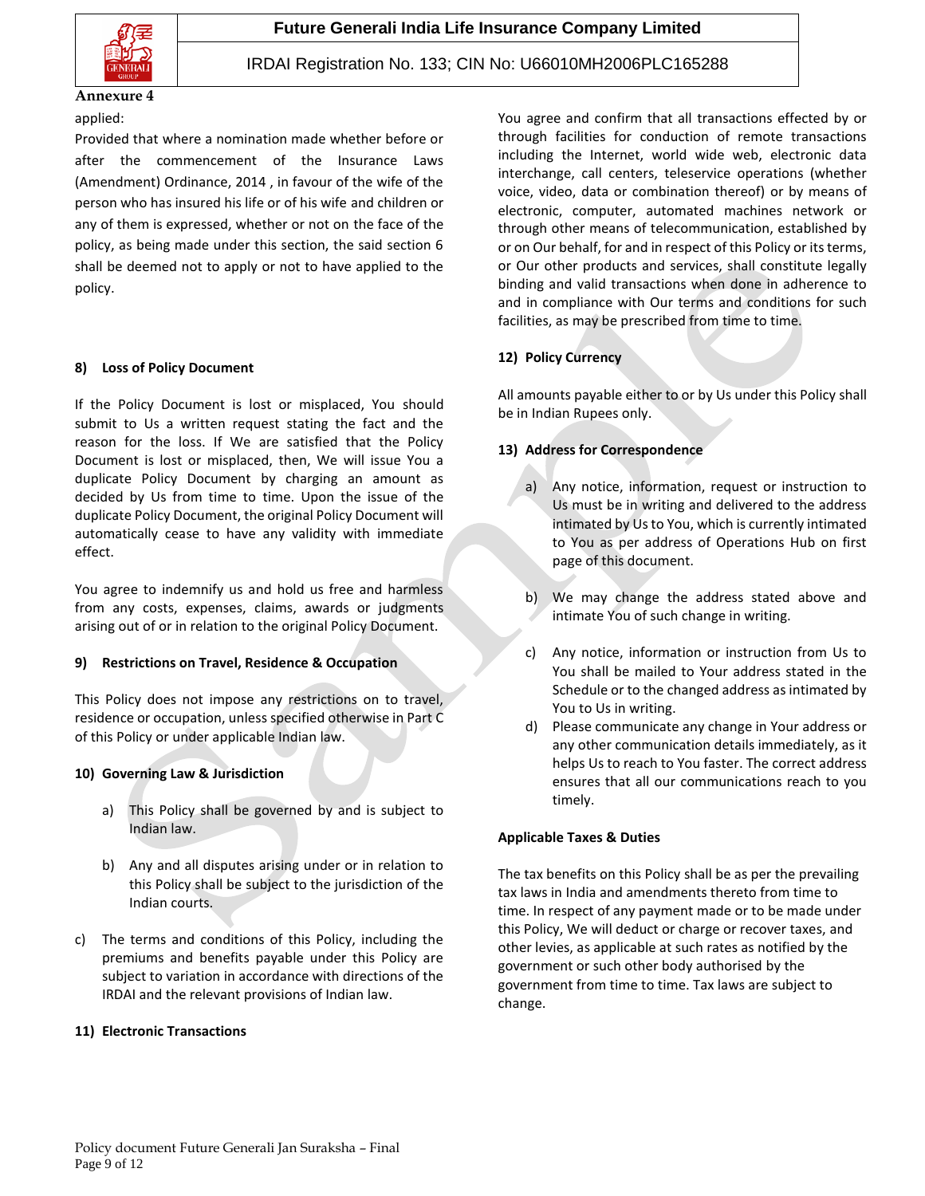

### applied:

Provided that where a nomination made whether before or after the commencement of the Insurance Laws (Amendment) Ordinance, 2014 , in favour of the wife of the person who has insured his life or of his wife and children or any of them is expressed, whether or not on the face of the policy, as being made under this section, the said section 6 shall be deemed not to apply or not to have applied to the policy.

### **8) Loss of Policy Document**

If the Policy Document is lost or misplaced, You should submit to Us a written request stating the fact and the reason for the loss. If We are satisfied that the Policy Document is lost or misplaced, then, We will issue You a duplicate Policy Document by charging an amount as decided by Us from time to time. Upon the issue of the duplicate Policy Document, the original Policy Document will automatically cease to have any validity with immediate effect.

You agree to indemnify us and hold us free and harmless from any costs, expenses, claims, awards or judgments arising out of or in relation to the original Policy Document.

## **9) Restrictions on Travel, Residence & Occupation**

This Policy does not impose any restrictions on to travel, residence or occupation, unless specified otherwise in Part C of this Policy or under applicable Indian law.

## **10) Governing Law & Jurisdiction**

- a) This Policy shall be governed by and is subject to Indian law.
- b) Any and all disputes arising under or in relation to this Policy shall be subject to the jurisdiction of the Indian courts.
- c) The terms and conditions of this Policy, including the premiums and benefits payable under this Policy are subject to variation in accordance with directions of the IRDAI and the relevant provisions of Indian law.

## **11) Electronic Transactions**

You agree and confirm that all transactions effected by or through facilities for conduction of remote transactions including the Internet, world wide web, electronic data interchange, call centers, teleservice operations (whether voice, video, data or combination thereof) or by means of electronic, computer, automated machines network or through other means of telecommunication, established by or on Our behalf, for and in respect of this Policy or its terms, or Our other products and services, shall constitute legally binding and valid transactions when done in adherence to and in compliance with Our terms and conditions for such facilities, as may be prescribed from time to time.

## **12) Policy Currency**

All amounts payable either to or by Us under this Policy shall be in Indian Rupees only.

## **13) Address for Correspondence**

- a) Any notice, information, request or instruction to Us must be in writing and delivered to the address intimated by Us to You, which is currently intimated to You as per address of Operations Hub on first page of this document.
- b) We may change the address stated above and intimate You of such change in writing.
- c) Any notice, information or instruction from Us to You shall be mailed to Your address stated in the Schedule or to the changed address as intimated by You to Us in writing.
- d) Please communicate any change in Your address or any other communication details immediately, as it helps Us to reach to You faster. The correct address ensures that all our communications reach to you timely.

#### **Applicable Taxes & Duties**

The tax benefits on this Policy shall be as per the prevailing tax laws in India and amendments thereto from time to time. In respect of any payment made or to be made under this Policy, We will deduct or charge or recover taxes, and other levies, as applicable at such rates as notified by the government or such other body authorised by the government from time to time. Tax laws are subject to change.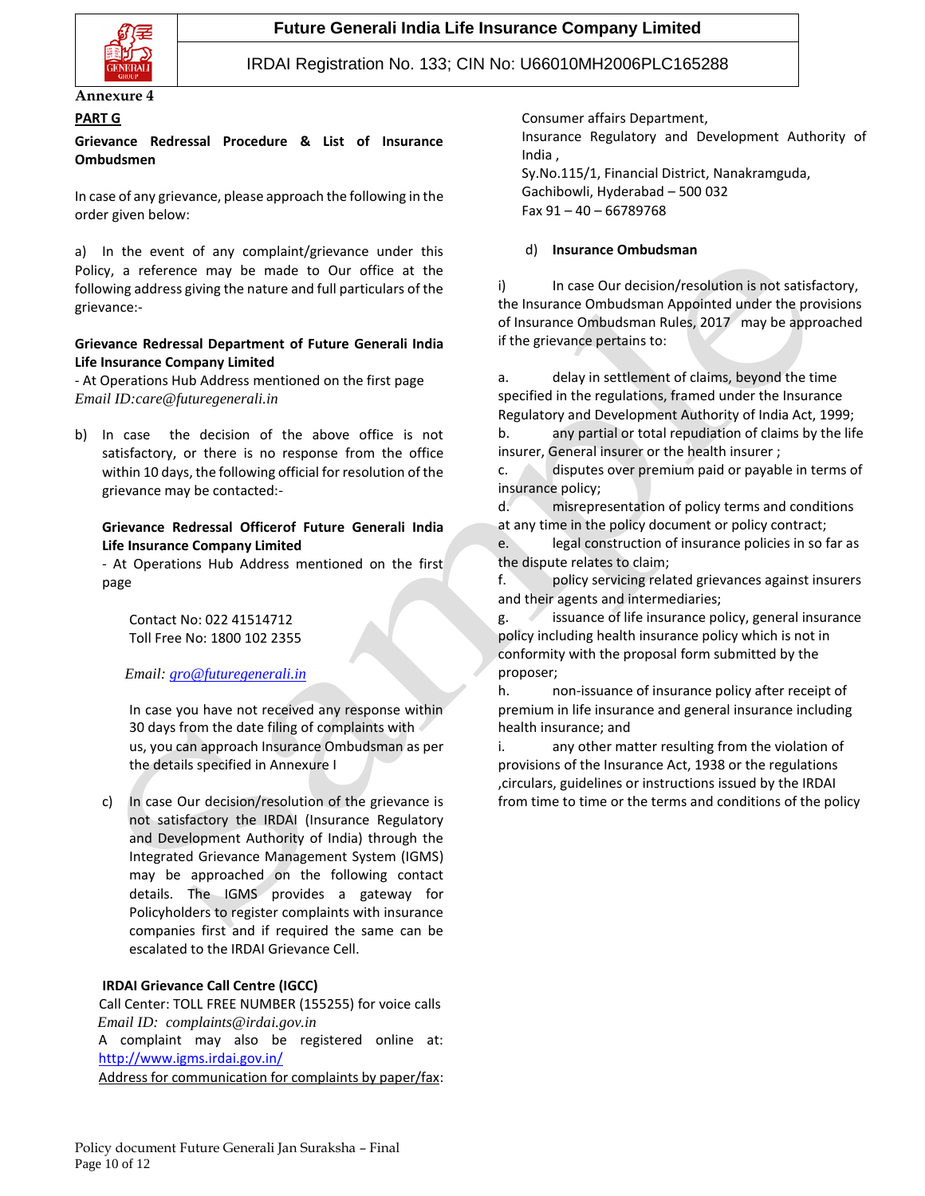

## **PART G**

## **Grievance Redressal Procedure & List of Insurance Ombudsmen**

In case of any grievance, please approach the following in the order given below:

a) In the event of any complaint/grievance under this Policy, a reference may be made to Our office at the following address giving the nature and full particulars of the grievance:-

## **Grievance Redressal Department of Future Generali India Life Insurance Company Limited**

- At Operations Hub Address mentioned on the first page *Email ID:care@futuregenerali.in*

b) In case the decision of the above office is not satisfactory, or there is no response from the office within 10 days, the following official for resolution of the grievance may be contacted:-

## **Grievance Redressal Officerof Future Generali India Life Insurance Company Limited**

- At Operations Hub Address mentioned on the first page

Contact No: 022 41514712 Toll Free No: 1800 102 2355

## *Email: [gro@futuregenerali.in](mailto:gro@futuregenerali.in)*

In case you have not received any response within 30 days from the date filing of complaints with us, you can approach Insurance Ombudsman as per the details specified in Annexure I

c) In case Our decision/resolution of the grievance is not satisfactory the IRDAI (Insurance Regulatory and Development Authority of India) through the Integrated Grievance Management System (IGMS) may be approached on the following contact details. The IGMS provides a gateway for Policyholders to register complaints with insurance companies first and if required the same can be escalated to the IRDAI Grievance Cell.

## **IRDAI Grievance Call Centre (IGCC)**

 Call Center: TOLL FREE NUMBER (155255) for voice calls  *Email ID: complaints@irdai.gov.in* A complaint may also be registered online at: <http://www.igms.irdai.gov.in/> Address for communication for complaints by paper/fax:

Consumer affairs Department, Insurance Regulatory and Development Authority of India , Sy.No.115/1, Financial District, Nanakramguda,

Gachibowli, Hyderabad – 500 032 Fax 91 – 40 – 66789768

## d) **Insurance Ombudsman**

i) In case Our decision/resolution is not satisfactory, the Insurance Ombudsman Appointed under the provisions of Insurance Ombudsman Rules, 2017 may be approached if the grievance pertains to:

a. delay in settlement of claims, beyond the time specified in the regulations, framed under the Insurance Regulatory and Development Authority of India Act, 1999;

b. any partial or total repudiation of claims by the life insurer, General insurer or the health insurer ;

c. disputes over premium paid or payable in terms of insurance policy;

d. misrepresentation of policy terms and conditions at any time in the policy document or policy contract;

e. legal construction of insurance policies in so far as the dispute relates to claim;

f. policy servicing related grievances against insurers and their agents and intermediaries;

g. issuance of life insurance policy, general insurance policy including health insurance policy which is not in conformity with the proposal form submitted by the proposer;

h. non-issuance of insurance policy after receipt of premium in life insurance and general insurance including health insurance; and

i. any other matter resulting from the violation of provisions of the Insurance Act, 1938 or the regulations ,circulars, guidelines or instructions issued by the IRDAI from time to time or the terms and conditions of the policy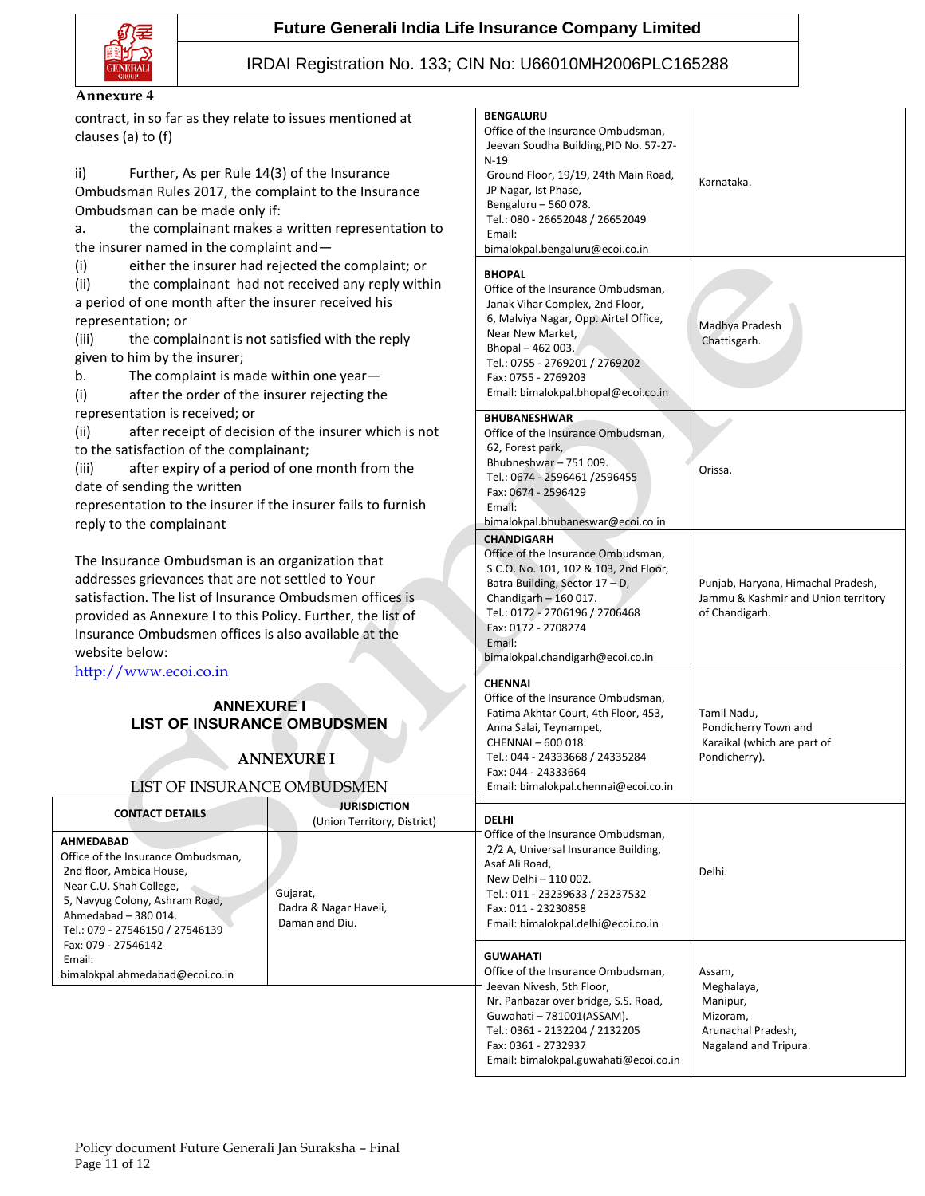



## IRDAI Registration No. 133; C

#### **Annexure 4**

contract, in so far as they relate to issues mentioned at clauses (a) to (f)

ii) Further, As per Rule 14(3) of the Insurance Ombudsman Rules 2017, the complaint to the Insurance Ombudsman can be made only if:

a. the complainant makes a written representation to the insurer named in the complaint and—

(i) either the insurer had rejected the complaint; or

(ii) the complainant had not received any reply within a period of one month after the insurer received his representation; or

(iii) the complainant is not satisfied with the reply given to him by the insurer;

b. The complaint is made within one year—

(i) after the order of the insurer rejecting the representation is received; or

(ii) after receipt of decision of the insurer which is not to the satisfaction of the complainant;

(iii) after expiry of a period of one month from the date of sending the written

representation to the insurer if the insurer fails to furnish reply to the complainant

The Insurance Ombudsman is an organization that addresses grievances that are not settled to Your satisfaction. The list of Insurance Ombudsmen offices is provided as Annexure I to this Policy. Further, the list of Insurance Ombudsmen offices is also available at the website below:

[http://www.ecoi.co.in](http://www.ecoi.co.in/)

## **ANNEXURE I LIST OF INSURANCE OMBUDSMEN**

# **ANNEXURE I**

LIST OF INSURANCE OMBUDSMEN

| <b>CONTACT DETAILS</b><br><b>AHMEDABAD</b><br>Office of the Insurance Ombudsman.<br>2nd floor, Ambica House,<br>Near C.U. Shah College,<br>5, Navyug Colony, Ashram Road,<br>Ahmedabad - 380 014.<br>Tel.: 079 - 27546150 / 27546139 | <b>JURISDICTION</b><br>(Union Territory, District)<br>Gujarat,<br>Dadra & Nagar Haveli,<br>Daman and Diu. | <b>IDELHI</b><br>Office of the Insurance Ombudsman,<br>2/2 A, Universal Insurance Building,<br>Asaf Ali Road,<br>New Delhi - 110 002.<br>Tel.: 011 - 23239633 / 23237532<br>Fax: 011 - 23230858<br>Email: bimalokpal.delhi@ecoi.co.in | Delhi.                                                             |
|--------------------------------------------------------------------------------------------------------------------------------------------------------------------------------------------------------------------------------------|-----------------------------------------------------------------------------------------------------------|---------------------------------------------------------------------------------------------------------------------------------------------------------------------------------------------------------------------------------------|--------------------------------------------------------------------|
| Fax: 079 - 27546142<br>Email:<br>bimalokpal.ahmedabad@ecoi.co.in                                                                                                                                                                     |                                                                                                           | <b>GUWAHATI</b><br>Office of the Insurance Ombudsman,<br>Jeevan Nivesh, 5th Floor,<br>Nr. Panbazar over bridge, S.S. Road,<br>Guwahati - 781001(ASSAM).<br>Tel.: 0361 - 2132204 / 2132205                                             | Assam,<br>Meghalaya,<br>Manipur,<br>Mizoram.<br>Arunachal Pradesh. |

| CIN No: U66010MH2006PLC165288                                                                                                                                                                                                                                                      |                                                                                             |  |  |  |
|------------------------------------------------------------------------------------------------------------------------------------------------------------------------------------------------------------------------------------------------------------------------------------|---------------------------------------------------------------------------------------------|--|--|--|
| <b>BENGALURU</b><br>Office of the Insurance Ombudsman,<br>Jeevan Soudha Building, PID No. 57-27-<br>$N-19$<br>Ground Floor, 19/19, 24th Main Road,<br>JP Nagar, Ist Phase,<br>Bengaluru - 560 078.<br>Tel.: 080 - 26652048 / 26652049<br>Email:<br>bimalokpal.bengaluru@ecoi.co.in | Karnataka.                                                                                  |  |  |  |
| <b>BHOPAL</b><br>Office of the Insurance Ombudsman,<br>Janak Vihar Complex, 2nd Floor,<br>6, Malviya Nagar, Opp. Airtel Office,<br>Near New Market,<br>Bhopal-462003.<br>Tel.: 0755 - 2769201 / 2769202<br>Fax: 0755 - 2769203<br>Email: bimalokpal.bhopal@ecoi.co.in              | Madhya Pradesh<br>Chattisgarh.                                                              |  |  |  |
| <b>BHUBANESHWAR</b><br>Office of the Insurance Ombudsman,<br>62, Forest park,<br>Bhubneshwar - 751 009.<br>Tel.: 0674 - 2596461 /2596455<br>Fax: 0674 - 2596429<br>Email:<br>bimalokpal.bhubaneswar@ecoi.co.in                                                                     | Orissa.                                                                                     |  |  |  |
| <b>CHANDIGARH</b><br>Office of the Insurance Ombudsman,<br>S.C.O. No. 101, 102 & 103, 2nd Floor,<br>Batra Building, Sector 17 - D,<br>Chandigarh $-160017$ .<br>Tel.: 0172 - 2706196 / 2706468<br>Fax: 0172 - 2708274<br>Email:<br>bimalokpal.chandigarh@ecoi.co.in                | Punjab, Haryana, Himachal Pradesh,<br>Jammu & Kashmir and Union territory<br>of Chandigarh. |  |  |  |
| <b>CHENNAI</b><br>Office of the Insurance Ombudsman,<br>Fatima Akhtar Court, 4th Floor, 453,<br>Anna Salai, Teynampet,<br>CHENNAI-600 018.<br>Tel.: 044 - 24333668 / 24335284<br>Fax: 044 - 24333664<br>Email: bimalokpal.chennai@ecoi.co.in                                       | Tamil Nadu,<br>Pondicherry Town and<br>Karaikal (which are part of<br>Pondicherry).         |  |  |  |
| DELHI<br>Office of the Insurance Ombudsman,<br>2/2 A, Universal Insurance Building,<br>Asaf Ali Road,<br>New Delhi - 110 002.<br>Tel.: 011 - 23239633 / 23237532<br>Fax: 011 - 23230858<br>Email: bimalokpal.delhi@ecoi.co.in                                                      | Delhi.                                                                                      |  |  |  |
| GUWAHATI<br>Office of the Insurance Ombudsman,<br>Jeevan Nivesh, 5th Floor,<br>Nr. Panbazar over bridge, S.S. Road,<br>Guwahati - 781001(ASSAM).<br>Tel.: 0361 - 2132204 / 2132205<br>Fax: 0361 - 2732937<br>Email: bimalokpal.guwahati@ecoi.co.in                                 | Assam,<br>Meghalaya,<br>Manipur,<br>Mizoram,<br>Arunachal Pradesh,<br>Nagaland and Tripura. |  |  |  |